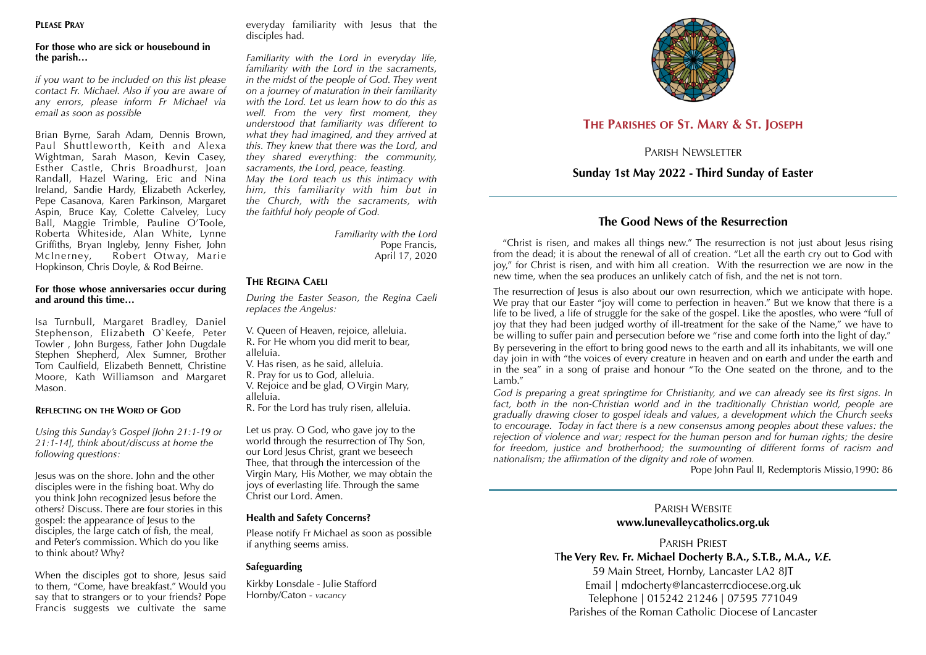#### **PLEASE PRAY**

#### **For those who are sick or housebound in the parish…**

*if you want to be included on this list please contact Fr. Michael. Also if you are aware of any errors, please inform Fr Michael via email as soon as possible* 

Brian Byrne, Sarah Adam, Dennis Brown, Paul Shuttleworth, Keith and Alexa Wightman, Sarah Mason, Kevin Casey, Esther Castle, Chris Broadhurst, Joan Randall, Hazel Waring, Eric and Nina Ireland, Sandie Hardy, Elizabeth Ackerley, Pepe Casanova, Karen Parkinson, Margaret Aspin, Bruce Kay, Colette Calveley, Lucy Ball, Maggie Trimble, Pauline O'Toole, Roberta Whiteside, Alan White, Lynne Griffiths, Bryan Ingleby, Jenny Fisher, John McInerney, Robert Otway, Marie Hopkinson, Chris Doyle, & Rod Beirne.

#### **For those whose anniversaries occur during and around this time…**

Isa Turnbull, Margaret Bradley, Daniel Stephenson, Elizabeth O`Keefe, Peter Towler , John Burgess, Father John Dugdale Stephen Shepherd, Alex Sumner, Brother Tom Caulfield, Elizabeth Bennett, Christine Moore, Kath Williamson and Margaret Mason.

#### **REFLECTING ON THE WORD OF GOD**

*Using this Sunday's Gospel [John 21:1-19 or 21:1-14], think about/discuss at home the following questions:* 

Jesus was on the shore. John and the other disciples were in the fishing boat. Why do you think John recognized Jesus before the others? Discuss. There are four stories in this gospel: the appearance of Jesus to the disciples, the large catch of fish, the meal, and Peter's commission. Which do you like to think about? Why?

When the disciples got to shore, Jesus said to them, "Come, have breakfast." Would you say that to strangers or to your friends? Pope Francis suggests we cultivate the same everyday familiarity with Jesus that the disciples had.

*Familiarity with the Lord in everyday life, familiarity with the Lord in the sacraments, in the midst of the people of God. They went on a journey of maturation in their familiarity with the Lord. Let us learn how to do this as well. From the very first moment, they understood that familiarity was different to what they had imagined, and they arrived at this. They knew that there was the Lord, and they shared everything: the community, sacraments, the Lord, peace, feasting. May the Lord teach us this intimacy with him, this familiarity with him but in the Church, with the sacraments, with the faithful holy people of God.* 

> *Familiarity with the Lord* Pope Francis, April 17, 2020

#### **THE REGINA CAELI**

*During the Easter Season, the Regina Caeli replaces the Angelus:* 

V. Queen of Heaven, rejoice, alleluia. R. For He whom you did merit to bear, alleluia.

V. Has risen, as he said, alleluia.

R. Pray for us to God, alleluia.

V. Rejoice and be glad, O Virgin Mary, alleluia.

R. For the Lord has truly risen, alleluia.

Let us pray. O God, who gave joy to the world through the resurrection of Thy Son, our Lord Jesus Christ, grant we beseech Thee, that through the intercession of the Virgin Mary, His Mother, we may obtain the joys of everlasting life. Through the same Christ our Lord. Amen.

#### **Health and Safety Concerns?**

Please notify Fr Michael as soon as possible if anything seems amiss.

### **Safeguarding**

Kirkby Lonsdale - Julie Stafford Hornby/Caton - *vacancy*



# **THE PARISHES OF ST. MARY & ST. JOSEPH**

PARISH NEWSLETTER

## **Sunday 1st May 2022 - Third Sunday of Easter**

## **The Good News of the Resurrection**

 "Christ is risen, and makes all things new." The resurrection is not just about Jesus rising from the dead; it is about the renewal of all of creation. "Let all the earth cry out to God with joy," for Christ is risen, and with him all creation. With the resurrection we are now in the new time, when the sea produces an unlikely catch of fish, and the net is not torn.

The resurrection of lesus is also about our own resurrection, which we anticipate with hope. We pray that our Easter "joy will come to perfection in heaven." But we know that there is a life to be lived, a life of struggle for the sake of the gospel. Like the apostles, who were "full of joy that they had been judged worthy of ill-treatment for the sake of the Name," we have to be willing to suffer pain and persecution before we "rise and come forth into the light of day." By persevering in the effort to bring good news to the earth and all its inhabitants, we will one day join in with "the voices of every creature in heaven and on earth and under the earth and in the sea" in a song of praise and honour "To the One seated on the throne, and to the Lamb."

*God is preparing a great springtime for Christianity, and we can already see its first signs. In*  fact, both in the non-Christian world and in the traditionally Christian world, people are *gradually drawing closer to gospel ideals and values, a development which the Church seeks to encourage. Today in fact there is a new consensus among peoples about these values: the rejection of violence and war; respect for the human person and for human rights; the desire for freedom, justice and brotherhood; the surmounting of different forms of racism and nationalism; the affirmation of the dignity and role of women.* 

Pope John Paul II, Redemptoris Missio,1990: 86

### PARISH WEBSITE **www.lunevalleycatholics.org.uk**

PARISH PRIEST T**he Very Rev. Fr. Michael Docherty B.A., S.T.B., M.A.,** *V.E.*

59 Main Street, Hornby, Lancaster LA2 8JT Email | mdocherty@lancasterrcdiocese.org.uk Telephone | 015242 21246 | 07595 771049 Parishes of the Roman Catholic Diocese of Lancaster